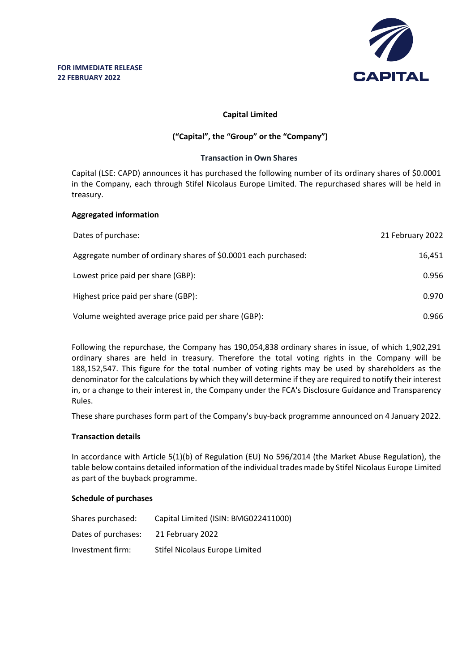

## **Capital Limited**

# **("Capital", the "Group" or the "Company")**

#### **Transaction in Own Shares**

Capital (LSE: CAPD) announces it has purchased the following number of its ordinary shares of \$0.0001 in the Company, each through Stifel Nicolaus Europe Limited. The repurchased shares will be held in treasury.

## **Aggregated information**

| Dates of purchase:                                              | 21 February 2022 |
|-----------------------------------------------------------------|------------------|
| Aggregate number of ordinary shares of \$0.0001 each purchased: | 16.451           |
| Lowest price paid per share (GBP):                              | 0.956            |
| Highest price paid per share (GBP):                             | 0.970            |
| Volume weighted average price paid per share (GBP):             | 0.966            |

Following the repurchase, the Company has 190,054,838 ordinary shares in issue, of which 1,902,291 ordinary shares are held in treasury. Therefore the total voting rights in the Company will be 188,152,547. This figure for the total number of voting rights may be used by shareholders as the denominator for the calculations by which they will determine if they are required to notify their interest in, or a change to their interest in, the Company under the FCA's Disclosure Guidance and Transparency Rules.

These share purchases form part of the Company's buy-back programme announced on 4 January 2022.

## **Transaction details**

In accordance with Article 5(1)(b) of Regulation (EU) No 596/2014 (the Market Abuse Regulation), the table below contains detailed information of the individual trades made by Stifel Nicolaus Europe Limited as part of the buyback programme.

## **Schedule of purchases**

| Shares purchased:   | Capital Limited (ISIN: BMG022411000) |
|---------------------|--------------------------------------|
| Dates of purchases: | 21 February 2022                     |
| Investment firm:    | Stifel Nicolaus Europe Limited       |